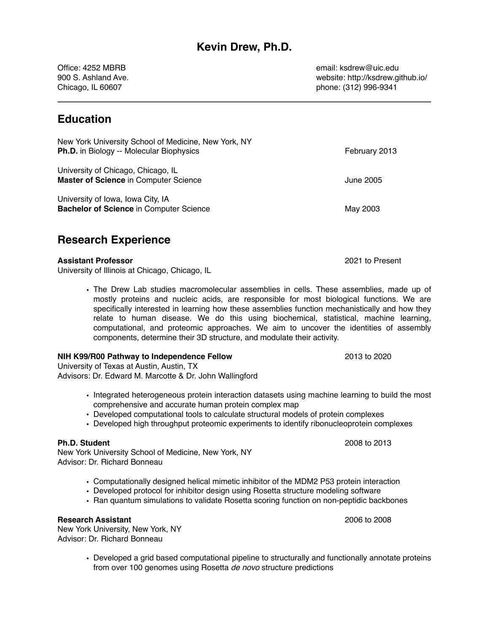Office: 4252 MBRB email: ksdrew@uic.edu

900 S. Ashland Ave. website: http://ksdrew.github.io/ Chicago, IL 60607 phone: (312) 996-9341

### **Education**

| New York University School of Medicine, New York, NY<br><b>Ph.D.</b> in Biology -- Molecular Biophysics | February 2013 |
|---------------------------------------------------------------------------------------------------------|---------------|
| University of Chicago, Chicago, IL<br><b>Master of Science in Computer Science</b>                      | June 2005     |
| University of Iowa, Iowa City, IA<br><b>Bachelor of Science in Computer Science</b>                     | May 2003      |

### **Research Experience**

#### **Assistant Professor** 2021 to Present

University of Illinois at Chicago, Chicago, IL

• The Drew Lab studies macromolecular assemblies in cells. These assemblies, made up of mostly proteins and nucleic acids, are responsible for most biological functions. We are specifically interested in learning how these assemblies function mechanistically and how they relate to human disease. We do this using biochemical, statistical, machine learning, computational, and proteomic approaches. We aim to uncover the identities of assembly components, determine their 3D structure, and modulate their activity.

#### **NIH K99/R00 Pathway to Independence Fellow** 2013 to 2020 2013 to 2020

University of Texas at Austin, Austin, TX Advisors: Dr. Edward M. Marcotte & Dr. John Wallingford

- Integrated heterogeneous protein interaction datasets using machine learning to build the most comprehensive and accurate human protein complex map
- Developed computational tools to calculate structural models of protein complexes
- Developed high throughput proteomic experiments to identify ribonucleoprotein complexes

#### **Ph.D. Student** 2008 to 2013

New York University School of Medicine, New York, NY Advisor: Dr. Richard Bonneau

- Computationally designed helical mimetic inhibitor of the MDM2 P53 protein interaction
- Developed protocol for inhibitor design using Rosetta structure modeling software
- Ran quantum simulations to validate Rosetta scoring function on non-peptidic backbones

#### **Research Assistant** 2006 to 2008

New York University, New York, NY Advisor: Dr. Richard Bonneau

• Developed a grid based computational pipeline to structurally and functionally annotate proteins from over 100 genomes using Rosetta *de novo* structure predictions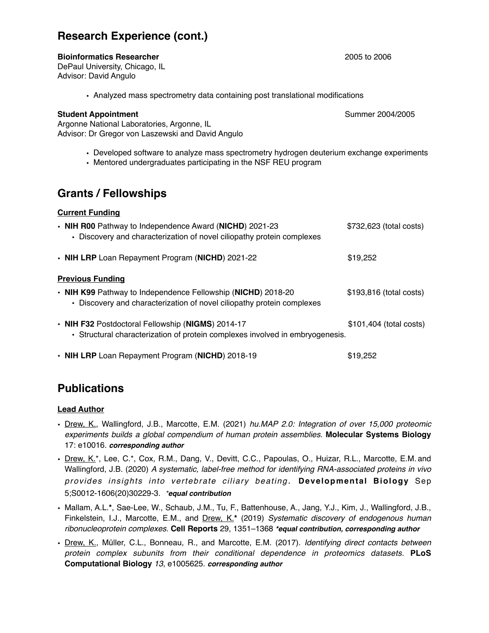### **Research Experience (cont.)**

#### **Bioinformatics Researcher** 2005 to 2006

DePaul University, Chicago, IL Advisor: David Angulo

• Analyzed mass spectrometry data containing post translational modifications

#### **Student Appointment Summer 2004/2005**

- Argonne National Laboratories, Argonne, IL Advisor: Dr Gregor von Laszewski and David Angulo
	- Developed software to analyze mass spectrometry hydrogen deuterium exchange experiments
	- Mentored undergraduates participating in the NSF REU program

### **Grants / Fellowships**

#### **Current Funding**

| • NIH R00 Pathway to Independence Award (NICHD) 2021-23<br>• Discovery and characterization of novel ciliopathy protein complexes      | \$732,623 (total costs)  |
|----------------------------------------------------------------------------------------------------------------------------------------|--------------------------|
| • NIH LRP Loan Repayment Program (NICHD) 2021-22                                                                                       | \$19,252                 |
| <b>Previous Funding</b>                                                                                                                |                          |
| • NIH K99 Pathway to Independence Fellowship (NICHD) 2018-20<br>• Discovery and characterization of novel ciliopathy protein complexes | \$193,816 (total costs)  |
| • NIH F32 Postdoctoral Fellowship (NIGMS) 2014-17<br>• Structural characterization of protein complexes involved in embryogenesis.     | $$101,404$ (total costs) |
| • NIH LRP Loan Repayment Program (NICHD) 2018-19                                                                                       | \$19,252                 |

# **Publications**

#### **Lead Author**

- Drew, K., Wallingford, J.B., Marcotte, E.M. (2021) *hu.MAP 2.0: Integration of over 15,000 proteomic experiments builds a global compendium of human protein assemblies.* **Molecular Systems Biology** 17: e10016. *corresponding author*
- Drew, K.\*, Lee, C.\*, Cox, R.M., Dang, V., Devitt, C.C., Papoulas, O., Huizar, R.L., Marcotte, E.M. and Wallingford, J.B. (2020) *A systematic, label-free method for identifying RNA-associated proteins in vivo provides insights into vertebrate ciliary beating.* **Developmental Biology** Sep 5;S0012-1606(20)30229-3. *\*equal contribution*
- Mallam, A.L.**\***, Sae-Lee, W., Schaub, J.M., Tu, F., Battenhouse, A., Jang, Y.J., Kim, J., Wallingford, J.B., Finkelstein, I.J., Marcotte, E.M., and Drew, K.**\*** (2019) *Systematic discovery of endogenous human ribonucleoprotein complexes.* **Cell Reports** 29, 1351–1368 *\*equal contribution, corresponding author*
- Drew, K., Müller, C.L., Bonneau, R., and Marcotte, E.M. (2017). *Identifying direct contacts between protein complex subunits from their conditional dependence in proteomics datasets.* **PLoS Computational Biology** *13*, e1005625. *corresponding author*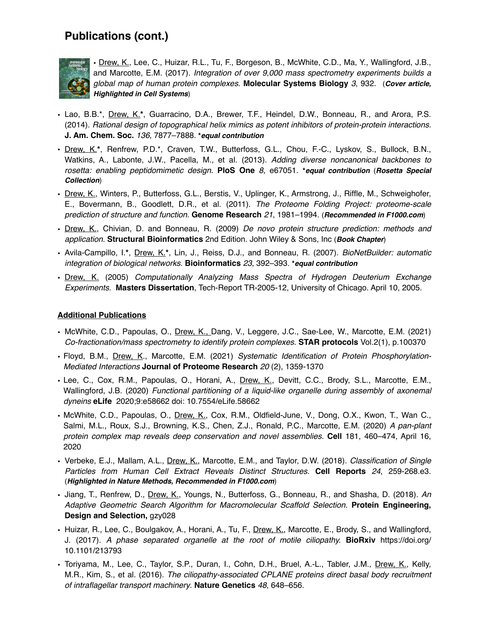### **Publications (cont.)**



• Drew, K., Lee, C., Huizar, R.L., Tu, F., Borgeson, B., McWhite, C.D., Ma, Y., Wallingford, J.B., and Marcotte, E.M. (2017). *Integration of over 9,000 mass spectrometry experiments builds a global map of human protein complexes.* **Molecular Systems Biology** *3*, 932. (*Cover article, Highlighted in Cell Systems*)

- Lao, B.B.\*, Drew, K.**\***, Guarracino, D.A., Brewer, T.F., Heindel, D.W., Bonneau, R., and Arora, P.S. (2014). *Rational design of topographical helix mimics as potent inhibitors of protein-protein interactions.* **J. Am. Chem. Soc.** *136*, 7877–7888. **\****equal contribution*
- Drew, K.**\***, Renfrew, P.D.\*, Craven, T.W., Butterfoss, G.L., Chou, F.-C., Lyskov, S., Bullock, B.N., Watkins, A., Labonte, J.W., Pacella, M., et al. (2013). *Adding diverse noncanonical backbones to rosetta: enabling peptidomimetic design.* **PloS One** *8*, e67051. **\****equal contribution* (*Rosetta Special Collection*)
- Drew, K., Winters, P., Butterfoss, G.L., Berstis, V., Uplinger, K., Armstrong, J., Riffle, M., Schweighofer, E., Bovermann, B., Goodlett, D.R., et al. (2011). *The Proteome Folding Project: proteome-scale prediction of structure and function.* **Genome Research** *21*, 1981–1994. (*Recommended in F1000.com*)
- Drew, K., Chivian, D. and Bonneau, R. (2009) *De novo protein structure prediction: methods and application.* **Structural Bioinformatics** 2nd Edition. John Wiley & Sons, Inc (*Book Chapter*)
- Avila-Campillo, I.**\***, Drew, K.**\***, Lin, J., Reiss, D.J., and Bonneau, R. (2007). *BioNetBuilder: automatic integration of biological networks.* **Bioinformatics** *23*, 392–393. **\****equal contribution*
- Drew, K. (2005) *Computationally Analyzing Mass Spectra of Hydrogen Deuterium Exchange Experiments.* **Masters Dissertation**, Tech-Report TR-2005-12, University of Chicago. April 10, 2005.

#### **Additional Publications**

- McWhite, C.D., Papoulas, O., Drew, K., Dang, V., Leggere, J.C., Sae-Lee, W., Marcotte, E.M. (2021) *Co-fractionation/mass spectrometry to identify protein complexes.* **STAR protocols** Vol.2(1), p.100370
- Floyd, B.M., Drew, K., Marcotte, E.M. (2021) *Systematic Identification of Protein Phosphorylation-Mediated Interactions* **Journal of Proteome Research** *20* (2), 1359-1370
- Lee, C., Cox, R.M., Papoulas, O., Horani, A., Drew, K., Devitt, C.C., Brody, S.L., Marcotte, E.M., Wallingford, J.B. (2020) *Functional partitioning of a liquid-like organelle during assembly of axonemal dyneins* **eLife** 2020;9:e58662 doi: 10.7554/eLife.58662
- McWhite, C.D., Papoulas, O., Drew, K., Cox, R.M., Oldfield-June, V., Dong, O.X., Kwon, T., Wan C., Salmi, M.L., Roux, S.J., Browning, K.S., Chen, Z.J., Ronald, P.C., Marcotte, E.M. (2020) *A pan-plant protein complex map reveals deep conservation and novel assemblies.* **Cell** 181, 460–474, April 16, 2020
- Verbeke, E.J., Mallam, A.L., Drew, K., Marcotte, E.M., and Taylor, D.W. (2018). *Classification of Single Particles from Human Cell Extract Reveals Distinct Structures.* **Cell Reports** *24*, 259-268.e3. (*Highlighted in Nature Methods, Recommended in F1000.com*)
- Jiang, T., Renfrew, D., Drew, K., Youngs, N., Butterfoss, G., Bonneau, R., and Shasha, D. (2018). *An Adaptive Geometric Search Algorithm for Macromolecular Scaffold Selection.* **Protein Engineering, Design and Selection,** gzy028
- Huizar, R., Lee, C., Boulgakov, A., Horani, A., Tu, F., Drew, K., Marcotte, E., Brody, S., and Wallingford, J. (2017). *A phase separated organelle at the root of motile ciliopathy.* **BioRxiv** https://doi.org/ 10.1101/213793
- Toriyama, M., Lee, C., Taylor, S.P., Duran, I., Cohn, D.H., Bruel, A.-L., Tabler, J.M., Drew, K., Kelly, M.R., Kim, S., et al. (2016). *The ciliopathy-associated CPLANE proteins direct basal body recruitment of intraflagellar transport machinery*. **Nature Genetics** *48*, 648–656.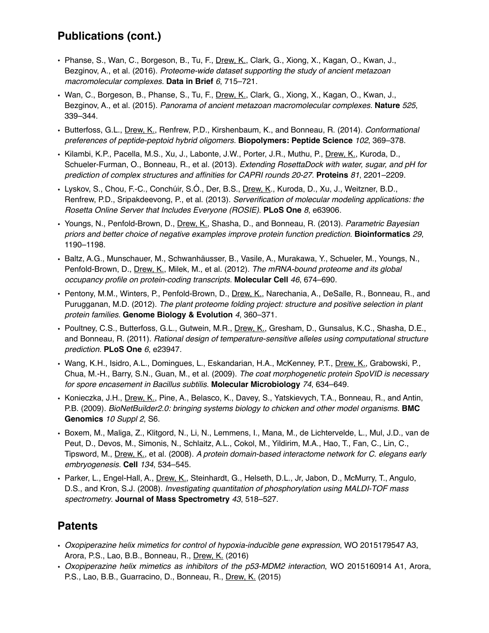# **Publications (cont.)**

- Phanse, S., Wan, C., Borgeson, B., Tu, F., Drew, K., Clark, G., Xiong, X., Kagan, O., Kwan, J., Bezginov, A., et al. (2016). *Proteome-wide dataset supporting the study of ancient metazoan macromolecular complexes.* **Data in Brief** *6*, 715–721.
- Wan, C., Borgeson, B., Phanse, S., Tu, F., Drew, K., Clark, G., Xiong, X., Kagan, O., Kwan, J., Bezginov, A., et al. (2015). *Panorama of ancient metazoan macromolecular complexes.* **Nature** *525*, 339–344.
- Butterfoss, G.L., Drew, K., Renfrew, P.D., Kirshenbaum, K., and Bonneau, R. (2014). *Conformational preferences of peptide-peptoid hybrid oligomers.* **Biopolymers: Peptide Science** *102*, 369–378.
- Kilambi, K.P., Pacella, M.S., Xu, J., Labonte, J.W., Porter, J.R., Muthu, P., Drew, K., Kuroda, D., Schueler-Furman, O., Bonneau, R., et al. (2013). *Extending RosettaDock with water, sugar, and pH for prediction of complex structures and affinities for CAPRI rounds 20-27*. **Proteins** *81*, 2201–2209.
- Lyskov, S., Chou, F.-C., Conchúir, S.Ó., Der, B.S., Drew, K., Kuroda, D., Xu, J., Weitzner, B.D., Renfrew, P.D., Sripakdeevong, P., et al. (2013). *Serverification of molecular modeling applications: the Rosetta Online Server that Includes Everyone (ROSIE)*. **PLoS One** *8*, e63906.
- Youngs, N., Penfold-Brown, D., Drew, K., Shasha, D., and Bonneau, R. (2013). *Parametric Bayesian priors and better choice of negative examples improve protein function prediction*. **Bioinformatics** *29*, 1190–1198.
- Baltz, A.G., Munschauer, M., Schwanhäusser, B., Vasile, A., Murakawa, Y., Schueler, M., Youngs, N., Penfold-Brown, D., Drew, K., Milek, M., et al. (2012). *The mRNA-bound proteome and its global occupancy profile on protein-coding transcripts.* **Molecular Cell** *46*, 674–690.
- Pentony, M.M., Winters, P., Penfold-Brown, D., Drew, K., Narechania, A., DeSalle, R., Bonneau, R., and Purugganan, M.D. (2012). *The plant proteome folding project: structure and positive selection in plant protein families.* **Genome Biology & Evolution** *4*, 360–371.
- Poultney, C.S., Butterfoss, G.L., Gutwein, M.R., Drew, K., Gresham, D., Gunsalus, K.C., Shasha, D.E., and Bonneau, R. (2011). *Rational design of temperature-sensitive alleles using computational structure prediction.* **PLoS One** *6*, e23947.
- Wang, K.H., Isidro, A.L., Domingues, L., Eskandarian, H.A., McKenney, P.T., Drew, K., Grabowski, P., Chua, M.-H., Barry, S.N., Guan, M., et al. (2009). *The coat morphogenetic protein SpoVID is necessary for spore encasement in Bacillus subtilis.* **Molecular Microbiology** *74*, 634–649.
- Konieczka, J.H., Drew, K., Pine, A., Belasco, K., Davey, S., Yatskievych, T.A., Bonneau, R., and Antin, P.B. (2009). *BioNetBuilder2.0: bringing systems biology to chicken and other model organisms.* **BMC Genomics** *10 Suppl 2*, S6.
- Boxem, M., Maliga, Z., Klitgord, N., Li, N., Lemmens, I., Mana, M., de Lichtervelde, L., Mul, J.D., van de Peut, D., Devos, M., Simonis, N., Schlaitz, A.L., Cokol, M., Yildirim, M.A., Hao, T., Fan, C., Lin, C., Tipsword, M., Drew, K., et al. (2008). *A protein domain-based interactome network for C. elegans early embryogenesis.* **Cell** *134*, 534–545.
- Parker, L., Engel-Hall, A., Drew, K., Steinhardt, G., Helseth, D.L., Jr, Jabon, D., McMurry, T., Angulo, D.S., and Kron, S.J. (2008). *Investigating quantitation of phosphorylation using MALDI-TOF mass spectrometry*. **Journal of Mass Spectrometry** *43*, 518–527.

### **Patents**

- *Oxopiperazine helix mimetics for control of hypoxia-inducible gene expression*, WO 2015179547 A3, Arora, P.S., Lao, B.B., Bonneau, R., Drew, K. (2016)
- *Oxopiperazine helix mimetics as inhibitors of the p53-MDM2 interaction*, WO 2015160914 A1, Arora, P.S., Lao, B.B., Guarracino, D., Bonneau, R., Drew, K. (2015)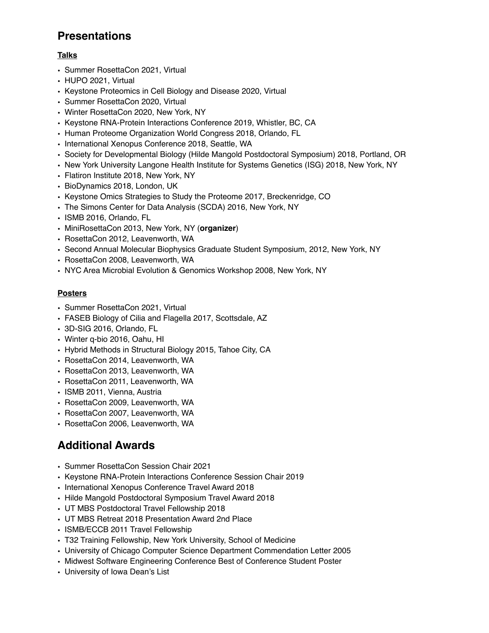# **Presentations**

#### **Talks**

- Summer RosettaCon 2021, Virtual
- HUPO 2021, Virtual
- Keystone Proteomics in Cell Biology and Disease 2020, Virtual
- Summer RosettaCon 2020, Virtual
- Winter RosettaCon 2020, New York, NY
- Keystone RNA-Protein Interactions Conference 2019, Whistler, BC, CA
- Human Proteome Organization World Congress 2018, Orlando, FL
- International Xenopus Conference 2018, Seattle, WA
- Society for Developmental Biology (Hilde Mangold Postdoctoral Symposium) 2018, Portland, OR
- New York University Langone Health Institute for Systems Genetics (ISG) 2018, New York, NY
- Flatiron Institute 2018, New York, NY
- BioDynamics 2018, London, UK
- Keystone Omics Strategies to Study the Proteome 2017, Breckenridge, CO
- The Simons Center for Data Analysis (SCDA) 2016, New York, NY
- ISMB 2016, Orlando, FL
- MiniRosettaCon 2013, New York, NY (**organizer**)
- RosettaCon 2012, Leavenworth, WA
- Second Annual Molecular Biophysics Graduate Student Symposium, 2012, New York, NY
- RosettaCon 2008, Leavenworth, WA
- NYC Area Microbial Evolution & Genomics Workshop 2008, New York, NY

#### **Posters**

- Summer RosettaCon 2021, Virtual
- FASEB Biology of Cilia and Flagella 2017, Scottsdale, AZ
- 3D-SIG 2016, Orlando, FL
- Winter q-bio 2016, Oahu, HI
- Hybrid Methods in Structural Biology 2015, Tahoe City, CA
- RosettaCon 2014, Leavenworth, WA
- RosettaCon 2013, Leavenworth, WA
- RosettaCon 2011, Leavenworth, WA
- ISMB 2011, Vienna, Austria
- RosettaCon 2009, Leavenworth, WA
- RosettaCon 2007, Leavenworth, WA
- RosettaCon 2006, Leavenworth, WA

# **Additional Awards**

- Summer RosettaCon Session Chair 2021
- Keystone RNA-Protein Interactions Conference Session Chair 2019
- International Xenopus Conference Travel Award 2018
- Hilde Mangold Postdoctoral Symposium Travel Award 2018
- UT MBS Postdoctoral Travel Fellowship 2018
- UT MBS Retreat 2018 Presentation Award 2nd Place
- ISMB/ECCB 2011 Travel Fellowship
- T32 Training Fellowship, New York University, School of Medicine
- University of Chicago Computer Science Department Commendation Letter 2005
- Midwest Software Engineering Conference Best of Conference Student Poster
- University of Iowa Dean's List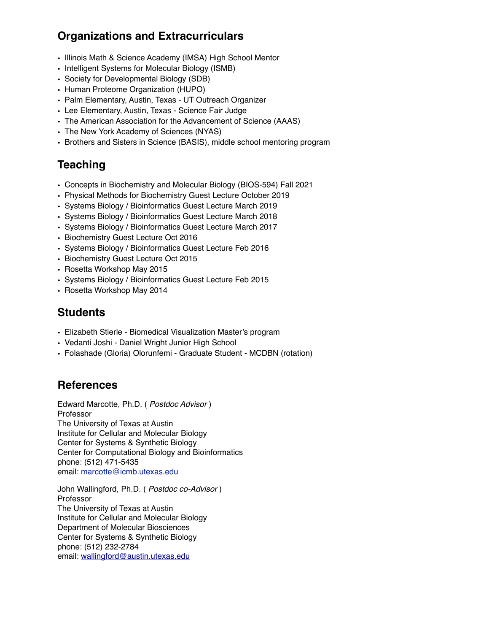# **Organizations and Extracurriculars**

- Illinois Math & Science Academy (IMSA) High School Mentor
- Intelligent Systems for Molecular Biology (ISMB)
- Society for Developmental Biology (SDB)
- Human Proteome Organization (HUPO)
- Palm Elementary, Austin, Texas UT Outreach Organizer
- Lee Elementary, Austin, Texas Science Fair Judge
- The American Association for the Advancement of Science (AAAS)
- The New York Academy of Sciences (NYAS)
- Brothers and Sisters in Science (BASIS), middle school mentoring program

# **Teaching**

- Concepts in Biochemistry and Molecular Biology (BIOS-594) Fall 2021
- Physical Methods for Biochemistry Guest Lecture October 2019
- Systems Biology / Bioinformatics Guest Lecture March 2019
- Systems Biology / Bioinformatics Guest Lecture March 2018
- Systems Biology / Bioinformatics Guest Lecture March 2017
- Biochemistry Guest Lecture Oct 2016
- Systems Biology / Bioinformatics Guest Lecture Feb 2016
- Biochemistry Guest Lecture Oct 2015
- Rosetta Workshop May 2015
- Systems Biology / Bioinformatics Guest Lecture Feb 2015
- Rosetta Workshop May 2014

### **Students**

- Elizabeth Stierle Biomedical Visualization Master's program
- Vedanti Joshi Daniel Wright Junior High School
- Folashade (Gloria) Olorunfemi Graduate Student MCDBN (rotation)

# **References**

Edward Marcotte, Ph.D. ( *Postdoc Advisor* ) Professor The University of Texas at Austin Institute for Cellular and Molecular Biology Center for Systems & Synthetic Biology Center for Computational Biology and Bioinformatics phone: (512) 471-5435 email: [marcotte@icmb.utexas.edu](mailto:marcotte@icmb.utexas.edu)

John Wallingford, Ph.D. ( *Postdoc co-Advisor* ) Professor The University of Texas at Austin Institute for Cellular and Molecular Biology Department of Molecular Biosciences Center for Systems & Synthetic Biology phone: (512) 232-2784 email: [wallingford@austin.utexas.edu](mailto:wallingford@austin.utexas.edu)